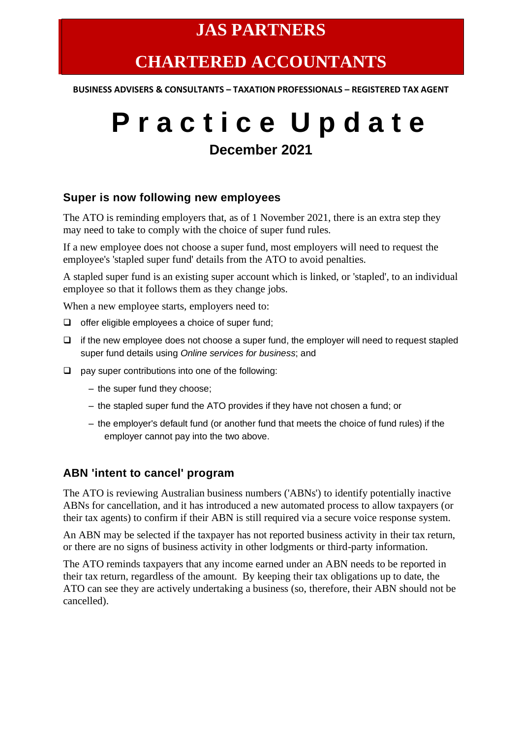# **JAS PARTNERS**

# **CHARTERED ACCOUNTANTS**

**BUSINESS ADVISERS & CONSULTANTS – TAXATION PROFESSIONALS – REGISTERED TAX AGENT**

# **P r a c t i c e U p d a t e**

# **December 2021**

#### **Super is now following new employees**

The ATO is reminding employers that, as of 1 November 2021, there is an extra step they may need to take to comply with the choice of super fund rules.

If a new employee does not choose a super fund, most employers will need to request the employee's 'stapled super fund' details from the ATO to avoid penalties.

A stapled super fund is an existing super account which is linked, or 'stapled', to an individual employee so that it follows them as they change jobs.

When a new employee starts, employers need to:

- ❑ offer eligible employees a choice of super fund;
- ❑ if the new employee does not choose a super fund, the employer will need to request stapled super fund details using *Online services for business*; and
- ❑ pay super contributions into one of the following:
	- the super fund they choose;
	- the stapled super fund the ATO provides if they have not chosen a fund; or
	- the employer's default fund (or another fund that meets the choice of fund rules) if the employer cannot pay into the two above.

#### **ABN 'intent to cancel' program**

The ATO is reviewing Australian business numbers ('ABNs') to identify potentially inactive ABNs for cancellation, and it has introduced a new automated process to allow taxpayers (or their tax agents) to confirm if their ABN is still required via a secure voice response system.

An ABN may be selected if the taxpayer has not reported business activity in their tax return, or there are no signs of business activity in other lodgments or third-party information.

The ATO reminds taxpayers that any income earned under an ABN needs to be reported in their tax return, regardless of the amount. By keeping their tax obligations up to date, the ATO can see they are actively undertaking a business (so, therefore, their ABN should not be cancelled).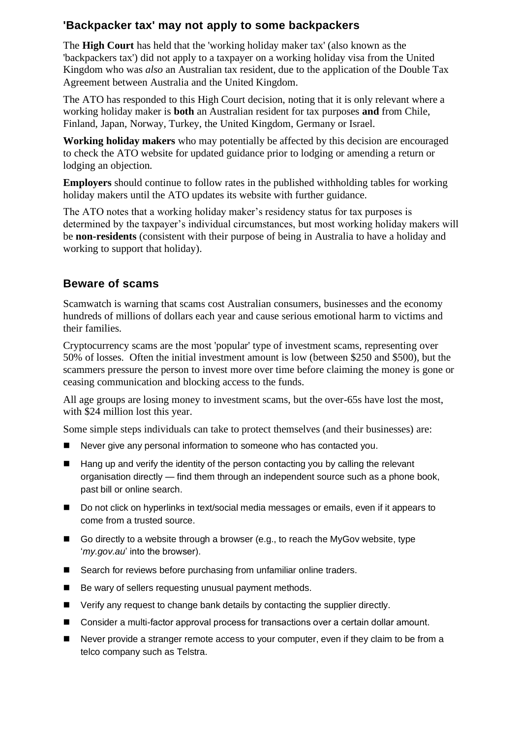# **'Backpacker tax' may not apply to some backpackers**

The **High Court** has held that the 'working holiday maker tax' (also known as the 'backpackers tax') did not apply to a taxpayer on a working holiday visa from the United Kingdom who was *also* an Australian tax resident, due to the application of the Double Tax Agreement between Australia and the United Kingdom.

The ATO has responded to this High Court decision, noting that it is only relevant where a working holiday maker is **both** an Australian resident for tax purposes **and** from Chile, Finland, Japan, Norway, Turkey, the United Kingdom, Germany or Israel.

**Working holiday makers** who may potentially be affected by this decision are encouraged to check the ATO website for updated guidance prior to lodging or amending a return or lodging an objection.

**Employers** should continue to follow rates in the published withholding tables for working holiday makers until the ATO updates its website with further guidance.

The ATO notes that a working holiday maker's residency status for tax purposes is determined by the taxpayer's individual circumstances, but most working holiday makers will be **non-residents** (consistent with their purpose of being in Australia to have a holiday and working to support that holiday).

## **Beware of scams**

Scamwatch is warning that scams cost Australian consumers, businesses and the economy hundreds of millions of dollars each year and cause serious emotional harm to victims and their families.

Cryptocurrency scams are the most 'popular' type of investment scams, representing over 50% of losses. Often the initial investment amount is low (between \$250 and \$500), but the scammers pressure the person to invest more over time before claiming the money is gone or ceasing communication and blocking access to the funds.

All age groups are losing money to investment scams, but the over-65s have lost the most, with \$24 million lost this year.

Some simple steps individuals can take to protect themselves (and their businesses) are:

- Never give any personal information to someone who has contacted you.
- Hang up and verify the identity of the person contacting you by calling the relevant organisation directly — find them through an independent source such as a phone book, past bill or online search.
- Do not click on hyperlinks in text/social media messages or emails, even if it appears to come from a trusted source.
- $\blacksquare$  Go directly to a website through a browser (e.g., to reach the MyGov website, type '*my.gov.au*' into the browser).
- Search for reviews before purchasing from unfamiliar online traders.
- Be wary of sellers requesting unusual payment methods.
- Verify any request to change bank details by contacting the supplier directly.
- Consider a multi-factor approval process for transactions over a certain dollar amount.
- Never provide a stranger remote access to your computer, even if they claim to be from a telco company such as Telstra.